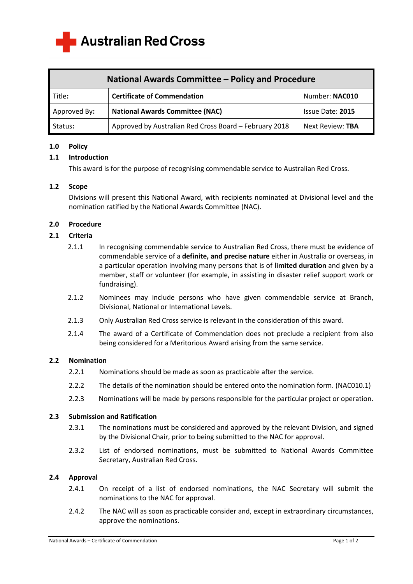

| National Awards Committee - Policy and Procedure |                                                        |                  |
|--------------------------------------------------|--------------------------------------------------------|------------------|
| Title:                                           | <b>Certificate of Commendation</b>                     | Number: NAC010   |
| Approved By:                                     | <b>National Awards Committee (NAC)</b>                 | Issue Date: 2015 |
| Status:                                          | Approved by Australian Red Cross Board - February 2018 | Next Review: TBA |

### **1.0 Policy**

# **1.1 Introduction**

This award is for the purpose of recognising commendable service to Australian Red Cross.

### **1.2 Scope**

 Divisions will present this National Award, with recipients nominated at Divisional level and the nomination ratified by the National Awards Committee (NAC).

# **2.0 Procedure**

# **2.1 Criteria**

- 2.1.1 In recognising commendable service to Australian Red Cross, there must be evidence of commendable service of a **definite, and precise nature** either in Australia or overseas, in a particular operation involving many persons that is of **limited duration** and given by a member, staff or volunteer (for example, in assisting in disaster relief support work or fundraising).
- 2.1.2 Nominees may include persons who have given commendable service at Branch, Divisional, National or International Levels.
- 2.1.3 Only Australian Red Cross service is relevant in the consideration of this award.
- 2.1.4 The award of a Certificate of Commendation does not preclude a recipient from also being considered for a Meritorious Award arising from the same service.

### **2.2 Nomination**

- 2.2.1 Nominations should be made as soon as practicable after the service.
- 2.2.2 The details of the nomination should be entered onto the nomination form. (NAC010.1)
- 2.2.3 Nominations will be made by persons responsible for the particular project or operation.

### **2.3 Submission and Ratification**

- 2.3.1 The nominations must be considered and approved by the relevant Division, and signed by the Divisional Chair, prior to being submitted to the NAC for approval.
- 2.3.2 List of endorsed nominations, must be submitted to National Awards Committee Secretary, Australian Red Cross.

### **2.4 Approval**

- 2.4.1 On receipt of a list of endorsed nominations, the NAC Secretary will submit the nominations to the NAC for approval.
- 2.4.2 The NAC will as soon as practicable consider and, except in extraordinary circumstances, approve the nominations.